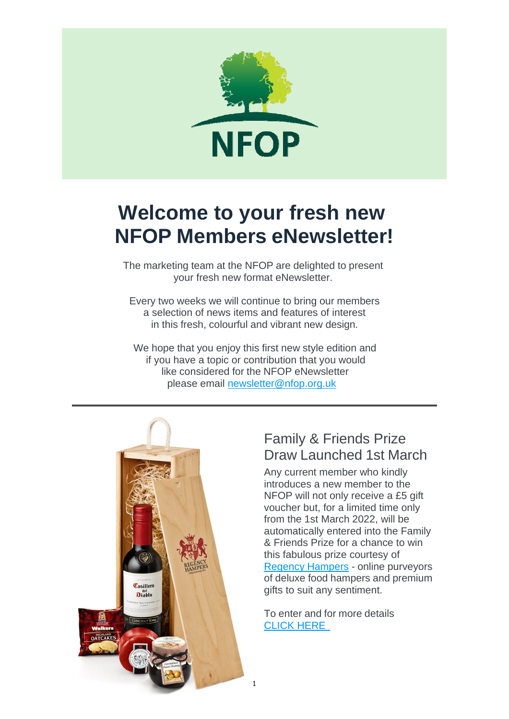

# **Welcome to your fresh new NFOP Members eNewsletter!**

The marketing team at the NFOP are delighted to present your fresh new format eNewsletter.

Every two weeks we will continue to bring our members a selection of news items and features of interest in this fresh, colourful and vibrant new design.

We hope that you enjoy this first new style edition and if you have a topic or contribution that you would like considered for the NFOP eNewsletter please email [newsletter@nfop.org.uk](mailto:newsletter@nfop.org.uk)



# Family & Friends Prize Draw Launched 1st March

Any current member who kindly introduces a new member to the NFOP will not only receive a £5 gift voucher but, for a limited time only from the 1st March 2022, will be automatically entered into the Family & Friends Prize for a chance to win this fabulous prize courtesy of Regency Hampers - online purveyors of deluxe food hampers and premium gifts to suit any sentiment.

To enter and for more details CLICK HERE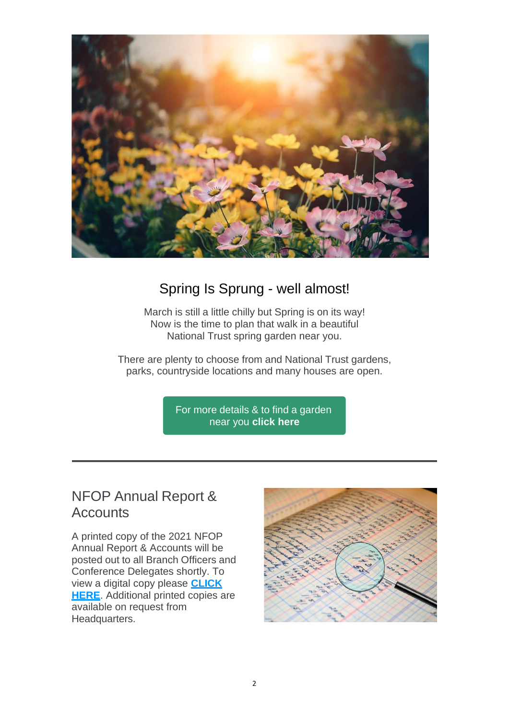

### Spring Is Sprung - well almost!

March is still a little chilly but Spring is on its way! Now is the time to plan that walk in a beautiful National Trust spring garden near you.

There are plenty to choose from and National Trust gardens, parks, countryside locations and many houses are open.

> For more details & to find a garden near you **click here**

# NFOP Annual Report & **Accounts**

A printed copy of the 2021 NFOP Annual Report & Accounts will be posted out to all Branch Officers and Conference Delegates shortly. To view a digital copy please **CLICK HERE**. Additional printed copies are available on request from Headquarters.